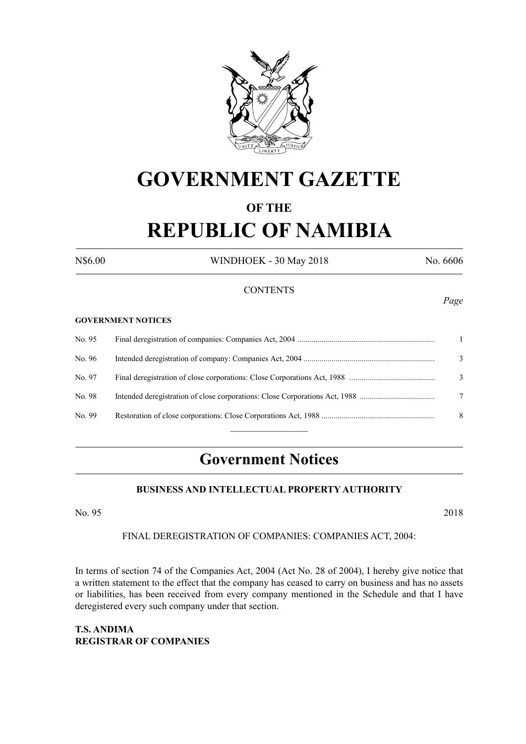

# **GOVERNMENT GAZETTE**

## **OF THE REPUBLIC OF NAMIBIA**

N\$6.00 WINDHOEK - 30 May 2018 No. 6606

#### **CONTENTS**

#### **GOVERNMENT NOTICES**

| No. 95 |   |
|--------|---|
| No. 96 | 3 |
| No. 97 | 3 |
| No. 98 |   |
| No. 99 | 8 |
|        |   |

### **Government Notices**

#### **BUSINESS AND INTELLECTUAL PROPERTY AUTHORITY**

No. 95 2018

#### FINAL DEREGISTRATION OF COMPANIES: COMPANIES ACT, 2004:

In terms of section 74 of the Companies Act, 2004 (Act No. 28 of 2004), I hereby give notice that a written statement to the effect that the company has ceased to carry on business and has no assets or liabilities, has been received from every company mentioned in the Schedule and that I have deregistered every such company under that section.

**T.S. ANDIMA REGISTRAR OF COMPANIES**

#### *Page*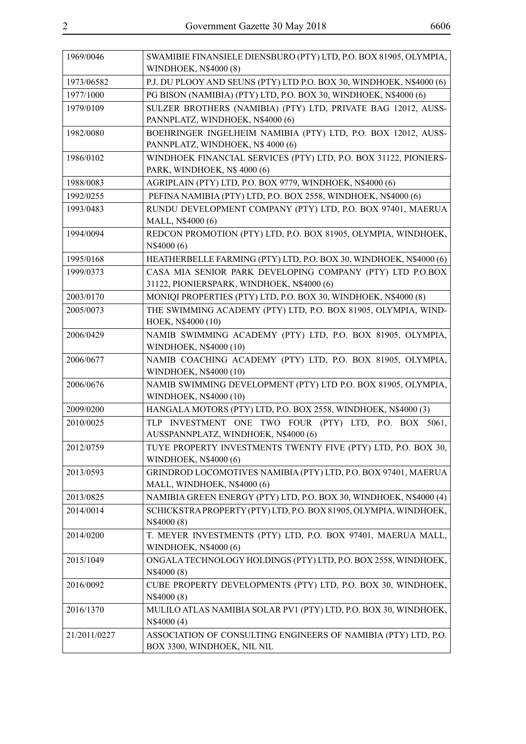| 1969/0046    | SWAMIBIE FINANSIELE DIENSBURO (PTY) LTD, P.O. BOX 81905, OLYMPIA,<br>WINDHOEK, N\$4000 (8) |
|--------------|--------------------------------------------------------------------------------------------|
| 1973/06582   | P.J. DU PLOOY AND SEUNS (PTY) LTD P.O. BOX 30, WINDHOEK, N\$4000 (6)                       |
| 1977/1000    | PG BISON (NAMIBIA) (PTY) LTD, P.O. BOX 30, WINDHOEK, N\$4000 (6)                           |
| 1979/0109    | SULZER BROTHERS (NAMIBIA) (PTY) LTD, PRIVATE BAG 12012, AUSS-                              |
|              | PANNPLATZ, WINDHOEK, N\$4000 (6)                                                           |
| 1982/0080    | BOEHRINGER INGELHEIM NAMIBIA (PTY) LTD, P.O. BOX 12012, AUSS-                              |
|              | PANNPLATZ, WINDHOEK, N\$ 4000 (6)                                                          |
| 1986/0102    | WINDHOEK FINANCIAL SERVICES (PTY) LTD, P.O. BOX 31122, PIONIERS-                           |
|              | PARK, WINDHOEK, N\$4000 (6)                                                                |
| 1988/0083    | AGRIPLAIN (PTY) LTD, P.O. BOX 9779, WINDHOEK, N\$4000 (6)                                  |
| 1992/0255    | PEFINA NAMIBIA (PTY) LTD, P.O. BOX 2558, WINDHOEK, N\$4000 (6)                             |
| 1993/0483    | RUNDU DEVELOPMENT COMPANY (PTY) LTD, P.O. BOX 97401, MAERUA                                |
|              | MALL, N\$4000 (6)                                                                          |
| 1994/0094    | REDCON PROMOTION (PTY) LTD, P.O. BOX 81905, OLYMPIA, WINDHOEK,                             |
|              | N\$4000 (6)                                                                                |
| 1995/0168    | HEATHERBELLE FARMING (PTY) LTD, P.O. BOX 30, WINDHOEK, N\$4000 (6)                         |
| 1999/0373    | CASA MIA SENIOR PARK DEVELOPING COMPANY (PTY) LTD P.O.BOX                                  |
|              | 31122, PIONIERSPARK, WINDHOEK, N\$4000 (6)                                                 |
| 2003/0170    | MONIQI PROPERTIES (PTY) LTD, P.O. BOX 30, WINDHOEK, N\$4000 (8)                            |
| 2005/0073    | THE SWIMMING ACADEMY (PTY) LTD, P.O. BOX 81905, OLYMPIA, WIND-                             |
|              | HOEK, N\$4000 (10)                                                                         |
| 2006/0429    | NAMIB SWIMMING ACADEMY (PTY) LTD, P.O. BOX 81905, OLYMPIA,                                 |
|              | WINDHOEK, N\$4000 (10)                                                                     |
| 2006/0677    | NAMIB COACHING ACADEMY (PTY) LTD, P.O. BOX 81905, OLYMPIA,                                 |
|              | WINDHOEK, N\$4000 (10)                                                                     |
| 2006/0676    | NAMIB SWIMMING DEVELOPMENT (PTY) LTD P.O. BOX 81905, OLYMPIA,                              |
|              | WINDHOEK, N\$4000 (10)                                                                     |
| 2009/0200    | HANGALA MOTORS (PTY) LTD, P.O. BOX 2558, WINDHOEK, N\$4000 (3)                             |
| 2010/0025    | TLP INVESTMENT ONE TWO FOUR (PTY) LTD, P.O. BOX 5061,                                      |
|              | AUSSPANNPLATZ, WINDHOEK, N\$4000 (6)                                                       |
| 2012/0759    | TUYE PROPERTY INVESTMENTS TWENTY FIVE (PTY) LTD, P.O. BOX 30,                              |
|              | WINDHOEK, N\$4000 (6)                                                                      |
| 2013/0593    | GRINDROD LOCOMOTIVES NAMIBIA (PTY) LTD, P.O. BOX 97401, MAERUA                             |
|              | MALL, WINDHOEK, N\$4000 (6)                                                                |
| 2013/0825    | NAMIBIA GREEN ENERGY (PTY) LTD, P.O. BOX 30, WINDHOEK, N\$4000 (4)                         |
| 2014/0014    | SCHICKSTRAPROPERTY (PTY) LTD, P.O. BOX 81905, OLYMPIA, WINDHOEK,                           |
| 2014/0200    | N\$4000 (8)<br>T. MEYER INVESTMENTS (PTY) LTD, P.O. BOX 97401, MAERUA MALL,                |
|              | WINDHOEK, N\$4000 (6)                                                                      |
| 2015/1049    | ONGALA TECHNOLOGY HOLDINGS (PTY) LTD, P.O. BOX 2558, WINDHOEK,                             |
|              | N\$4000 (8)                                                                                |
| 2016/0092    | CUBE PROPERTY DEVELOPMENTS (PTY) LTD, P.O. BOX 30, WINDHOEK,                               |
|              | N\$4000 (8)                                                                                |
| 2016/1370    | MULILO ATLAS NAMIBIA SOLAR PV1 (PTY) LTD, P.O. BOX 30, WINDHOEK,                           |
|              | N\$4000 (4)                                                                                |
| 21/2011/0227 | ASSOCIATION OF CONSULTING ENGINEERS OF NAMIBIA (PTY) LTD, P.O.                             |
|              | BOX 3300, WINDHOEK, NIL NIL                                                                |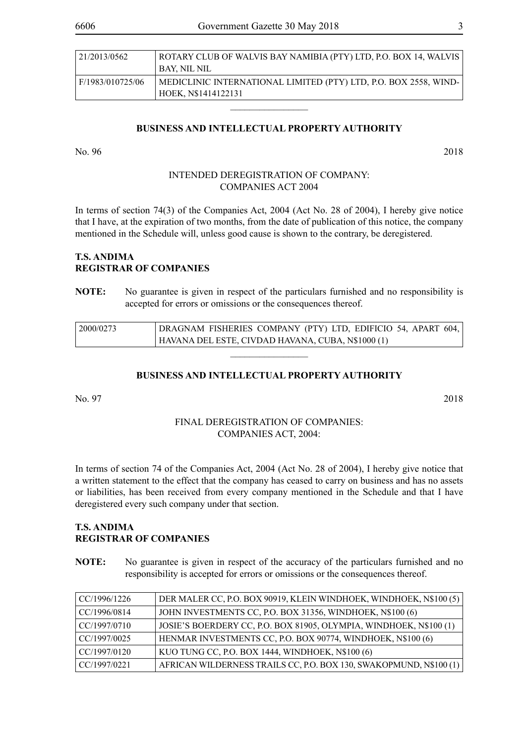| 21/2013/0562     | ROTARY CLUB OF WALVIS BAY NAMIBIA (PTY) LTD, P.O. BOX 14, WALVIS |
|------------------|------------------------------------------------------------------|
|                  | BAY. NIL NIL                                                     |
| F/1983/010725/06 | MEDICLINIC INTERNATIONAL LIMITED (PTY) LTD, P.O. BOX 2558, WIND- |
|                  | HOEK, N\$1414122131                                              |

#### **BUSINESS AND INTELLECTUAL PROPERTY AUTHORITY**

 $\overline{\phantom{a}}$  , where  $\overline{\phantom{a}}$ 

No. 96 2018

#### INTENDED DEREGISTRATION OF COMPANY: COMPANIES ACT 2004

In terms of section 74(3) of the Companies Act, 2004 (Act No. 28 of 2004), I hereby give notice that I have, at the expiration of two months, from the date of publication of this notice, the company mentioned in the Schedule will, unless good cause is shown to the contrary, be deregistered.

#### **T.S. ANDIMA REGISTRAR OF COMPANIES**

**NOTE:** No guarantee is given in respect of the particulars furnished and no responsibility is accepted for errors or omissions or the consequences thereof.

| 2000/0273 | DRAGNAM FISHERIES COMPANY (PTY) LTD, EDIFICIO 54, APART 604, |
|-----------|--------------------------------------------------------------|
|           | HAVANA DEL ESTE, CIVDAD HAVANA, CUBA, N\$1000 (1)            |
|           |                                                              |

#### **BUSINESS AND INTELLECTUAL PROPERTY AUTHORITY**

No. 97 2018

#### FINAL DEREGISTRATION OF COMPANIES: COMPANIES ACT, 2004:

In terms of section 74 of the Companies Act, 2004 (Act No. 28 of 2004), I hereby give notice that a written statement to the effect that the company has ceased to carry on business and has no assets or liabilities, has been received from every company mentioned in the Schedule and that I have deregistered every such company under that section.

#### **T.S. ANDIMA REGISTRAR OF COMPANIES**

**NOTE:** No guarantee is given in respect of the accuracy of the particulars furnished and no responsibility is accepted for errors or omissions or the consequences thereof.

| CC/1996/1226 | DER MALER CC, P.O. BOX 90919, KLEIN WINDHOEK, WINDHOEK, N\$100(5)  |
|--------------|--------------------------------------------------------------------|
| CC/1996/0814 | JOHN INVESTMENTS CC, P.O. BOX 31356, WINDHOEK, N\$100 (6)          |
| CC/1997/0710 | JOSIE'S BOERDERY CC, P.O. BOX 81905, OLYMPIA, WINDHOEK, N\$100 (1) |
| CC/1997/0025 | HENMAR INVESTMENTS CC, P.O. BOX 90774, WINDHOEK, N\$100 (6)        |
| CC/1997/0120 | KUO TUNG CC, P.O. BOX 1444, WINDHOEK, N\$100 (6)                   |
| CC/1997/0221 | AFRICAN WILDERNESS TRAILS CC, P.O. BOX 130, SWAKOPMUND, N\$100 (1) |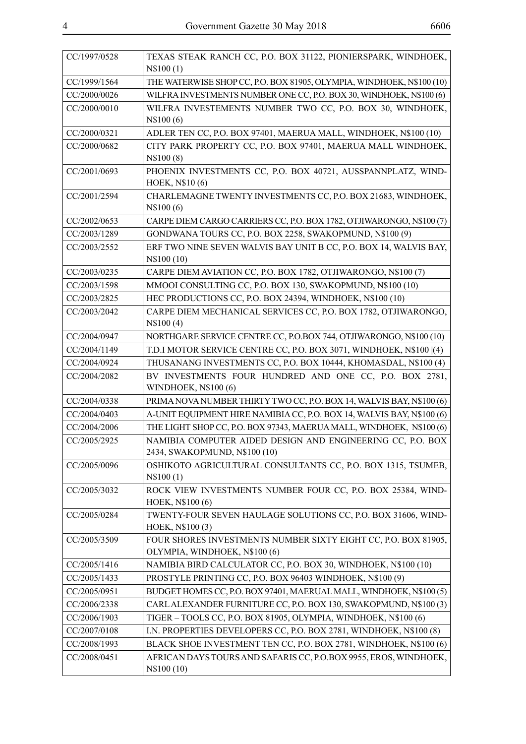| CC/1997/0528 | TEXAS STEAK RANCH CC, P.O. BOX 31122, PIONIERSPARK, WINDHOEK,<br>N\$100(1)                      |
|--------------|-------------------------------------------------------------------------------------------------|
| CC/1999/1564 | THE WATERWISE SHOP CC, P.O. BOX 81905, OLYMPIA, WINDHOEK, N\$100 (10)                           |
| CC/2000/0026 | WILFRA INVESTMENTS NUMBER ONE CC, P.O. BOX 30, WINDHOEK, N\$100 (6)                             |
| CC/2000/0010 | WILFRA INVESTEMENTS NUMBER TWO CC, P.O. BOX 30, WINDHOEK,<br>N\$100(6)                          |
| CC/2000/0321 | ADLER TEN CC, P.O. BOX 97401, MAERUA MALL, WINDHOEK, N\$100 (10)                                |
| CC/2000/0682 | CITY PARK PROPERTY CC, P.O. BOX 97401, MAERUA MALL WINDHOEK,<br>N\$100(8)                       |
| CC/2001/0693 | PHOENIX INVESTMENTS CC, P.O. BOX 40721, AUSSPANNPLATZ, WIND-<br>HOEK, N\$10 (6)                 |
| CC/2001/2594 | CHARLEMAGNE TWENTY INVESTMENTS CC, P.O. BOX 21683, WINDHOEK,<br>N\$100(6)                       |
| CC/2002/0653 | CARPE DIEM CARGO CARRIERS CC, P.O. BOX 1782, OTJIWARONGO, N\$100 (7)                            |
| CC/2003/1289 | GONDWANA TOURS CC, P.O. BOX 2258, SWAKOPMUND, N\$100 (9)                                        |
| CC/2003/2552 | ERF TWO NINE SEVEN WALVIS BAY UNIT B CC, P.O. BOX 14, WALVIS BAY,<br>N\\$100 (10)               |
| CC/2003/0235 | CARPE DIEM AVIATION CC, P.O. BOX 1782, OTJIWARONGO, N\$100 (7)                                  |
| CC/2003/1598 | MMOOI CONSULTING CC, P.O. BOX 130, SWAKOPMUND, N\$100 (10)                                      |
| CC/2003/2825 | HEC PRODUCTIONS CC, P.O. BOX 24394, WINDHOEK, N\$100 (10)                                       |
| CC/2003/2042 | CARPE DIEM MECHANICAL SERVICES CC, P.O. BOX 1782, OTJIWARONGO,<br>N\$100(4)                     |
| CC/2004/0947 | NORTHGARE SERVICE CENTRE CC, P.O.BOX 744, OTJIWARONGO, N\$100 (10)                              |
| CC/2004/1149 | T.D.I MOTOR SERVICE CENTRE CC, P.O. BOX 3071, WINDHOEK, N\$100 [(4)                             |
| CC/2004/0924 | THUSANANG INVESTMENTS CC, P.O. BOX 10444, KHOMASDAL, N\$100 (4)                                 |
| CC/2004/2082 | BV INVESTMENTS FOUR HUNDRED AND ONE CC, P.O. BOX 2781,<br><b>WINDHOEK, N\$100 (6)</b>           |
| CC/2004/0338 | PRIMA NOVA NUMBER THIRTY TWO CC, P.O. BOX 14, WALVIS BAY, N\$100 (6)                            |
| CC/2004/0403 | A-UNIT EQUIPMENT HIRE NAMIBIA CC, P.O. BOX 14, WALVIS BAY, N\$100 (6)                           |
| CC/2004/2006 | THE LIGHT SHOP CC, P.O. BOX 97343, MAERUA MALL, WINDHOEK, N\$100 (6)                            |
| CC/2005/2925 | NAMIBIA COMPUTER AIDED DESIGN AND ENGINEERING CC, P.O. BOX<br>2434, SWAKOPMUND, N\$100 (10)     |
| CC/2005/0096 | OSHIKOTO AGRICULTURAL CONSULTANTS CC, P.O. BOX 1315, TSUMEB,<br>N\$100(1)                       |
| CC/2005/3032 | ROCK VIEW INVESTMENTS NUMBER FOUR CC, P.O. BOX 25384, WIND-<br>HOEK, N\$100 (6)                 |
| CC/2005/0284 | TWENTY-FOUR SEVEN HAULAGE SOLUTIONS CC, P.O. BOX 31606, WIND-<br>HOEK, N\$100 (3)               |
| CC/2005/3509 | FOUR SHORES INVESTMENTS NUMBER SIXTY EIGHT CC, P.O. BOX 81905,<br>OLYMPIA, WINDHOEK, N\$100 (6) |
| CC/2005/1416 | NAMIBIA BIRD CALCULATOR CC, P.O. BOX 30, WINDHOEK, N\$100 (10)                                  |
| CC/2005/1433 | PROSTYLE PRINTING CC, P.O. BOX 96403 WINDHOEK, N\$100 (9)                                       |
| CC/2005/0951 | BUDGET HOMES CC, P.O. BOX 97401, MAERUAL MALL, WINDHOEK, N\$100(5)                              |
| CC/2006/2338 | CARL ALEXANDER FURNITURE CC, P.O. BOX 130, SWAKOPMUND, N\$100 (3)                               |
| CC/2006/1903 | TIGER - TOOLS CC, P.O. BOX 81905, OLYMPIA, WINDHOEK, N\$100 (6)                                 |
| CC/2007/0108 | I.N. PROPERTIES DEVELOPERS CC, P.O. BOX 2781, WINDHOEK, N\$100 (8)                              |
| CC/2008/1993 | BLACK SHOE INVESTMENT TEN CC, P.O. BOX 2781, WINDHOEK, N\$100 (6)                               |
| CC/2008/0451 | AFRICAN DAYS TOURS AND SAFARIS CC, P.O.BOX 9955, EROS, WINDHOEK,<br>N\\$100 (10)                |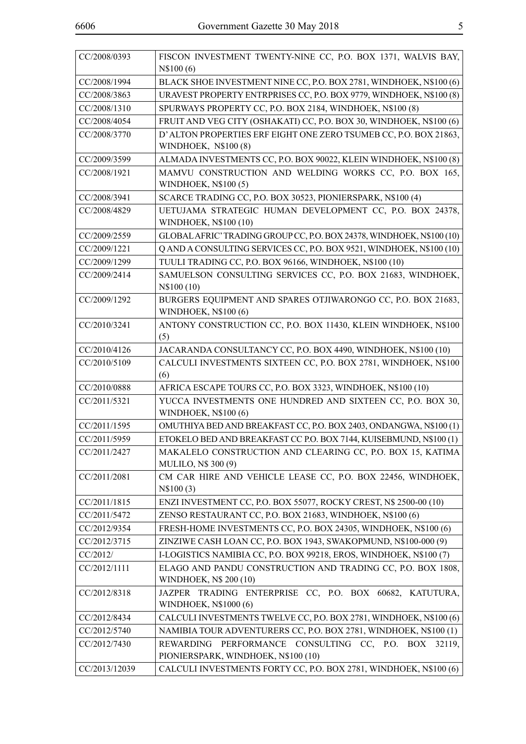| CC/2008/0393  | FISCON INVESTMENT TWENTY-NINE CC, P.O. BOX 1371, WALVIS BAY,                                   |
|---------------|------------------------------------------------------------------------------------------------|
|               | N\$100(6)                                                                                      |
| CC/2008/1994  | BLACK SHOE INVESTMENT NINE CC, P.O. BOX 2781, WINDHOEK, N\$100 (6)                             |
| CC/2008/3863  | URAVEST PROPERTY ENTRPRISES CC, P.O. BOX 9779, WINDHOEK, N\$100 (8)                            |
| CC/2008/1310  | SPURWAYS PROPERTY CC, P.O. BOX 2184, WINDHOEK, N\$100 (8)                                      |
| CC/2008/4054  | FRUIT AND VEG CITY (OSHAKATI) CC, P.O. BOX 30, WINDHOEK, N\$100 (6)                            |
| CC/2008/3770  | D'ALTON PROPERTIES ERF EIGHT ONE ZERO TSUMEB CC, P.O. BOX 21863,<br>WINDHOEK, N\$100 (8)       |
| CC/2009/3599  | ALMADA INVESTMENTS CC, P.O. BOX 90022, KLEIN WINDHOEK, N\$100 (8)                              |
| CC/2008/1921  | MAMVU CONSTRUCTION AND WELDING WORKS CC, P.O. BOX 165,<br><b>WINDHOEK, N\$100(5)</b>           |
| CC/2008/3941  | SCARCE TRADING CC, P.O. BOX 30523, PIONIERSPARK, N\$100 (4)                                    |
| CC/2008/4829  | UETUJAMA STRATEGIC HUMAN DEVELOPMENT CC, P.O. BOX 24378,<br>WINDHOEK, N\$100 (10)              |
| CC/2009/2559  | GLOBAL AFRIC' TRADING GROUP CC, P.O. BOX 24378, WINDHOEK, N\$100 (10)                          |
| CC/2009/1221  | Q AND A CONSULTING SERVICES CC, P.O. BOX 9521, WINDHOEK, N\$100 (10)                           |
| CC/2009/1299  | TUULI TRADING CC, P.O. BOX 96166, WINDHOEK, N\$100 (10)                                        |
| CC/2009/2414  | SAMUELSON CONSULTING SERVICES CC, P.O. BOX 21683, WINDHOEK,<br>N\$100 (10)                     |
| CC/2009/1292  | BURGERS EQUIPMENT AND SPARES OTJIWARONGO CC, P.O. BOX 21683,<br>WINDHOEK, N\$100 (6)           |
| CC/2010/3241  | ANTONY CONSTRUCTION CC, P.O. BOX 11430, KLEIN WINDHOEK, N\$100<br>(5)                          |
| CC/2010/4126  | JACARANDA CONSULTANCY CC, P.O. BOX 4490, WINDHOEK, N\$100 (10)                                 |
| CC/2010/5109  | CALCULI INVESTMENTS SIXTEEN CC, P.O. BOX 2781, WINDHOEK, N\$100<br>(6)                         |
| CC/2010/0888  | AFRICA ESCAPE TOURS CC, P.O. BOX 3323, WINDHOEK, N\$100 (10)                                   |
| CC/2011/5321  | YUCCA INVESTMENTS ONE HUNDRED AND SIXTEEN CC, P.O. BOX 30,<br>WINDHOEK, N\$100 (6)             |
| CC/2011/1595  | OMUTHIYA BED AND BREAKFAST CC, P.O. BOX 2403, ONDANGWA, N\$100 (1)                             |
| CC/2011/5959  | ETOKELO BED AND BREAKFAST CC P.O. BOX 7144, KUISEBMUND, N\$100 (1)                             |
| CC/2011/2427  | MAKALELO CONSTRUCTION AND CLEARING CC, P.O. BOX 15, KATIMA<br><b>MULILO, N\$ 300 (9)</b>       |
| CC/2011/2081  | CM CAR HIRE AND VEHICLE LEASE CC, P.O. BOX 22456, WINDHOEK,<br>N\\$100 (3)                     |
| CC/2011/1815  | ENZI INVESTMENT CC, P.O. BOX 55077, ROCKY CREST, N\$ 2500-00 (10)                              |
| CC/2011/5472  | ZENSO RESTAURANT CC, P.O. BOX 21683, WINDHOEK, N\$100 (6)                                      |
| CC/2012/9354  | FRESH-HOME INVESTMENTS CC, P.O. BOX 24305, WINDHOEK, N\$100 (6)                                |
| CC/2012/3715  | ZINZIWE CASH LOAN CC, P.O. BOX 1943, SWAKOPMUND, N\$100-000 (9)                                |
| CC/2012/      | I-LOGISTICS NAMIBIA CC, P.O. BOX 99218, EROS, WINDHOEK, N\$100 (7)                             |
| CC/2012/1111  | ELAGO AND PANDU CONSTRUCTION AND TRADING CC, P.O. BOX 1808,                                    |
|               | WINDHOEK, N\$ 200 (10)                                                                         |
| CC/2012/8318  | JAZPER TRADING ENTERPRISE CC, P.O. BOX 60682, KATUTURA,<br>WINDHOEK, N\$1000 (6)               |
| CC/2012/8434  | CALCULI INVESTMENTS TWELVE CC, P.O. BOX 2781, WINDHOEK, N\$100 (6)                             |
| CC/2012/5740  | NAMIBIA TOUR ADVENTURERS CC, P.O. BOX 2781, WINDHOEK, N\$100 (1)                               |
|               |                                                                                                |
| CC/2012/7430  | PERFORMANCE CONSULTING CC, P.O. BOX 32119,<br>REWARDING<br>PIONIERSPARK, WINDHOEK, N\$100 (10) |
| CC/2013/12039 | CALCULI INVESTMENTS FORTY CC, P.O. BOX 2781, WINDHOEK, N\$100 (6)                              |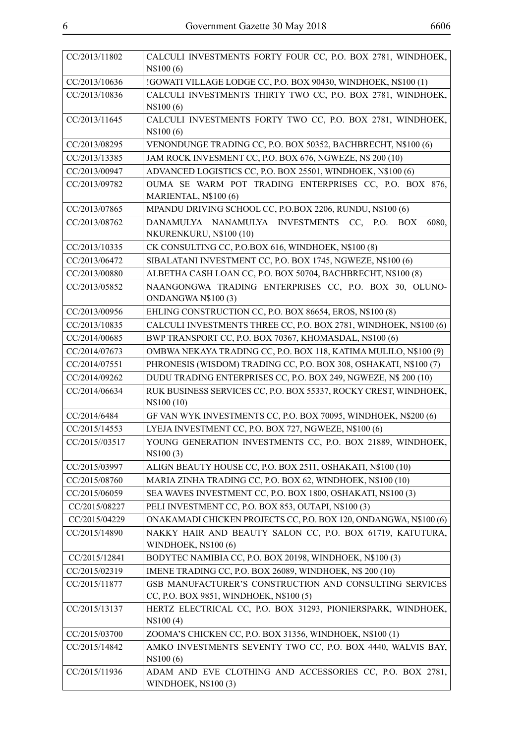| CC/2013/11802  | CALCULI INVESTMENTS FORTY FOUR CC, P.O. BOX 2781, WINDHOEK,<br>N\$100(6)                           |
|----------------|----------------------------------------------------------------------------------------------------|
| CC/2013/10636  | !GOWATI VILLAGE LODGE CC, P.O. BOX 90430, WINDHOEK, N\$100 (1)                                     |
| CC/2013/10836  | CALCULI INVESTMENTS THIRTY TWO CC, P.O. BOX 2781, WINDHOEK,<br>N\$100(6)                           |
| CC/2013/11645  | CALCULI INVESTMENTS FORTY TWO CC, P.O. BOX 2781, WINDHOEK,<br>N\$100(6)                            |
| CC/2013/08295  | VENONDUNGE TRADING CC, P.O. BOX 50352, BACHBRECHT, N\$100 (6)                                      |
| CC/2013/13385  | JAM ROCK INVESMENT CC, P.O. BOX 676, NGWEZE, N\$ 200 (10)                                          |
| CC/2013/00947  | ADVANCED LOGISTICS CC, P.O. BOX 25501, WINDHOEK, N\$100 (6)                                        |
| CC/2013/09782  | OUMA SE WARM POT TRADING ENTERPRISES CC, P.O. BOX 876,<br>MARIENTAL, N\$100 (6)                    |
| CC/2013/07865  | MPANDU DRIVING SCHOOL CC, P.O.BOX 2206, RUNDU, N\$100 (6)                                          |
| CC/2013/08762  | DANAMULYA NANAMULYA INVESTMENTS CC,<br>6080,<br>P.O.<br><b>BOX</b><br>NKURENKURU, N\$100 (10)      |
| CC/2013/10335  | CK CONSULTING CC, P.O.BOX 616, WINDHOEK, N\$100 (8)                                                |
| CC/2013/06472  | SIBALATANI INVESTMENT CC, P.O. BOX 1745, NGWEZE, N\$100 (6)                                        |
| CC/2013/00880  | ALBETHA CASH LOAN CC, P.O. BOX 50704, BACHBRECHT, N\$100 (8)                                       |
| CC/2013/05852  | NAANGONGWA TRADING ENTERPRISES CC, P.O. BOX 30, OLUNO-<br>ONDANGWA N\$100(3)                       |
| CC/2013/00956  | EHLING CONSTRUCTION CC, P.O. BOX 86654, EROS, N\$100 (8)                                           |
| CC/2013/10835  | CALCULI INVESTMENTS THREE CC, P.O. BOX 2781, WINDHOEK, N\$100 (6)                                  |
| CC/2014/00685  | BWP TRANSPORT CC, P.O. BOX 70367, KHOMASDAL, N\$100 (6)                                            |
| CC/2014/07673  | OMBWA NEKAYA TRADING CC, P.O. BOX 118, KATIMA MULILO, N\$100 (9)                                   |
| CC/2014/07551  | PHRONESIS (WISDOM) TRADING CC, P.O. BOX 308, OSHAKATI, N\$100 (7)                                  |
| CC/2014/09262  | DUDU TRADING ENTERPRISES CC, P.O. BOX 249, NGWEZE, N\$ 200 (10)                                    |
| CC/2014/06634  | RUK BUSINESS SERVICES CC, P.O. BOX 55337, ROCKY CREST, WINDHOEK,<br>N\\$100 (10)                   |
| CC/2014/6484   | GF VAN WYK INVESTMENTS CC, P.O. BOX 70095, WINDHOEK, N\$200 (6)                                    |
| CC/2015/14553  | LYEJA INVESTMENT CC, P.O. BOX 727, NGWEZE, N\$100 (6)                                              |
| CC/2015//03517 | YOUNG GENERATION INVESTMENTS CC, P.O. BOX 21889, WINDHOEK,<br>N\$100(3)                            |
| CC/2015/03997  | ALIGN BEAUTY HOUSE CC, P.O. BOX 2511, OSHAKATI, N\$100 (10)                                        |
| CC/2015/08760  | MARIA ZINHA TRADING CC, P.O. BOX 62, WINDHOEK, N\$100 (10)                                         |
| CC/2015/06059  | SEA WAVES INVESTMENT CC, P.O. BOX 1800, OSHAKATI, N\$100 (3)                                       |
| CC/2015/08227  | PELI INVESTMENT CC, P.O. BOX 853, OUTAPI, N\$100 (3)                                               |
| CC/2015/04229  | ONAKAMADI CHICKEN PROJECTS CC, P.O. BOX 120, ONDANGWA, N\$100 (6)                                  |
| CC/2015/14890  | NAKKY HAIR AND BEAUTY SALON CC, P.O. BOX 61719, KATUTURA,<br><b>WINDHOEK, N\$100 (6)</b>           |
| CC/2015/12841  | BODYTEC NAMIBIA CC, P.O. BOX 20198, WINDHOEK, N\$100 (3)                                           |
| CC/2015/02319  | IMENE TRADING CC, P.O. BOX 26089, WINDHOEK, N\$ 200 (10)                                           |
| CC/2015/11877  | GSB MANUFACTURER'S CONSTRUCTION AND CONSULTING SERVICES<br>CC, P.O. BOX 9851, WINDHOEK, N\$100 (5) |
| CC/2015/13137  | HERTZ ELECTRICAL CC, P.O. BOX 31293, PIONIERSPARK, WINDHOEK,<br>N\\$100(4)                         |
| CC/2015/03700  | ZOOMA'S CHICKEN CC, P.O. BOX 31356, WINDHOEK, N\$100 (1)                                           |
| CC/2015/14842  | AMKO INVESTMENTS SEVENTY TWO CC, P.O. BOX 4440, WALVIS BAY,<br>N\$100(6)                           |
| CC/2015/11936  | ADAM AND EVE CLOTHING AND ACCESSORIES CC, P.O. BOX 2781,<br><b>WINDHOEK, N\$100 (3)</b>            |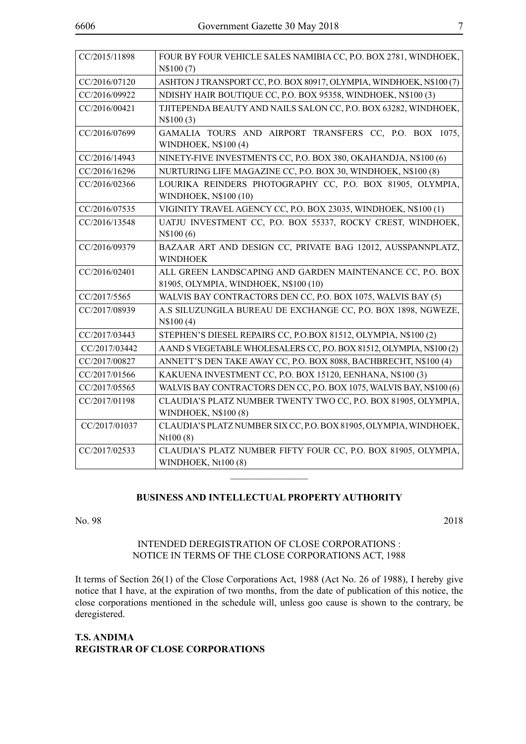| CC/2015/11898 | FOUR BY FOUR VEHICLE SALES NAMIBIA CC, P.O. BOX 2781, WINDHOEK,       |
|---------------|-----------------------------------------------------------------------|
|               | N\\$100(7)                                                            |
| CC/2016/07120 | ASHTON J TRANSPORT CC, P.O. BOX 80917, OLYMPIA, WINDHOEK, N\$100 (7)  |
| CC/2016/09922 | NDISHY HAIR BOUTIQUE CC, P.O. BOX 95358, WINDHOEK, N\$100 (3)         |
| CC/2016/00421 | TJITEPENDA BEAUTY AND NAILS SALON CC, P.O. BOX 63282, WINDHOEK,       |
|               | N\$100(3)                                                             |
| CC/2016/07699 | GAMALIA TOURS AND AIRPORT TRANSFERS CC, P.O. BOX 1075,                |
|               | WINDHOEK, N\$100 (4)                                                  |
| CC/2016/14943 | NINETY-FIVE INVESTMENTS CC, P.O. BOX 380, OKAHANDJA, N\$100 (6)       |
| CC/2016/16296 | NURTURING LIFE MAGAZINE CC, P.O. BOX 30, WINDHOEK, N\$100 (8)         |
| CC/2016/02366 | LOURIKA REINDERS PHOTOGRAPHY CC, P.O. BOX 81905, OLYMPIA,             |
|               | WINDHOEK, N\$100 (10)                                                 |
| CC/2016/07535 | VIGINITY TRAVEL AGENCY CC, P.O. BOX 23035, WINDHOEK, N\$100 (1)       |
| CC/2016/13548 | UATJU INVESTMENT CC, P.O. BOX 55337, ROCKY CREST, WINDHOEK,           |
|               | N\$100(6)                                                             |
| CC/2016/09379 | BAZAAR ART AND DESIGN CC, PRIVATE BAG 12012, AUSSPANNPLATZ,           |
|               | <b>WINDHOEK</b>                                                       |
| CC/2016/02401 | ALL GREEN LANDSCAPING AND GARDEN MAINTENANCE CC, P.O. BOX             |
|               | 81905, OLYMPIA, WINDHOEK, N\$100 (10)                                 |
| CC/2017/5565  | WALVIS BAY CONTRACTORS DEN CC, P.O. BOX 1075, WALVIS BAY (5)          |
| CC/2017/08939 | A.S SILUZUNGILA BUREAU DE EXCHANGE CC, P.O. BOX 1898, NGWEZE,         |
|               | N\$100(4)                                                             |
| CC/2017/03443 | STEPHEN'S DIESEL REPAIRS CC, P.O.BOX 81512, OLYMPIA, N\$100 (2)       |
| CC/2017/03442 | A AND S VEGETABLE WHOLESALERS CC, P.O. BOX 81512, OLYMPIA, N\$100 (2) |
| CC/2017/00827 | ANNETT'S DEN TAKE AWAY CC, P.O. BOX 8088, BACHBRECHT, N\$100 (4)      |
| CC/2017/01566 | KAKUENA INVESTMENT CC, P.O. BOX 15120, EENHANA, N\$100 (3)            |
| CC/2017/05565 | WALVIS BAY CONTRACTORS DEN CC, P.O. BOX 1075, WALVIS BAY, N\$100 (6)  |
| CC/2017/01198 | CLAUDIA'S PLATZ NUMBER TWENTY TWO CC, P.O. BOX 81905, OLYMPIA,        |
|               | <b>WINDHOEK, N\$100 (8)</b>                                           |
| CC/2017/01037 | CLAUDIA'S PLATZ NUMBER SIX CC, P.O. BOX 81905, OLYMPIA, WINDHOEK,     |
|               | Nt100(8)                                                              |
| CC/2017/02533 | CLAUDIA'S PLATZ NUMBER FIFTY FOUR CC, P.O. BOX 81905, OLYMPIA,        |
|               | WINDHOEK, Nt100 (8)                                                   |

#### **BUSINESS AND INTELLECTUAL PROPERTY AUTHORITY**

 $\frac{1}{2}$ 

| 2018 |
|------|
|      |

#### INTENDED DEREGISTRATION OF CLOSE CORPORATIONS : NOTICE IN TERMS OF THE CLOSE CORPORATIONS ACT, 1988

It terms of Section 26(1) of the Close Corporations Act, 1988 (Act No. 26 of 1988), I hereby give notice that I have, at the expiration of two months, from the date of publication of this notice, the close corporations mentioned in the schedule will, unless goo cause is shown to the contrary, be deregistered.

#### **T.S. ANDIMA REGISTRAR OF CLOSE CORPORATIONS**